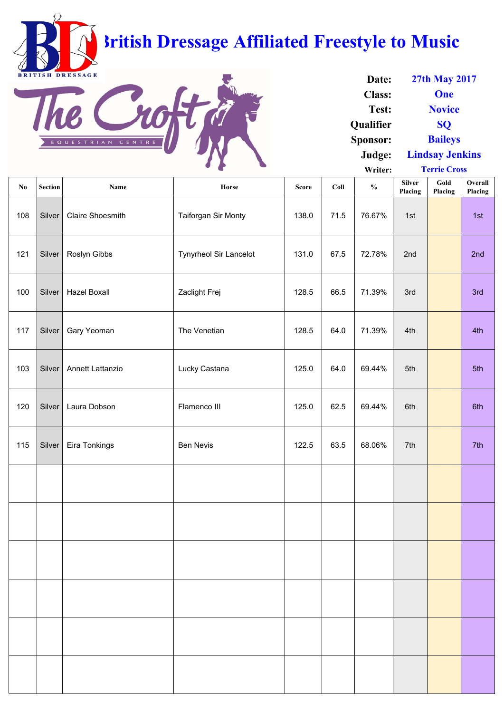| $\mathbf{N}\mathbf{0}$ | <b>Section</b> | Name                    | Horse                         | <b>Score</b> | Coll | $\frac{0}{0}$ | <b>Silver</b><br>Placing | Gold<br>Placing | Overall<br>Placing |
|------------------------|----------------|-------------------------|-------------------------------|--------------|------|---------------|--------------------------|-----------------|--------------------|
| 108                    | Silver         | <b>Claire Shoesmith</b> | <b>Taiforgan Sir Monty</b>    | 138.0        | 71.5 | 76.67%        | 1st                      |                 | 1st                |
| 121                    | Silver         | Roslyn Gibbs            | <b>Tynyrheol Sir Lancelot</b> | 131.0        | 67.5 | 72.78%        | 2nd                      |                 | 2nd                |
| 100                    | Silver         | <b>Hazel Boxall</b>     | Zaclight Frej                 | 128.5        | 66.5 | 71.39%        | 3rd                      |                 | 3rd                |
| 117                    | Silver         | Gary Yeoman             | The Venetian                  | 128.5        | 64.0 | 71.39%        | 4th                      |                 | 4th                |
| 103                    | Silver         | <b>Annett Lattanzio</b> | Lucky Castana                 | 125.0        | 64.0 | 69.44%        | 5th                      |                 | 5th                |
| 120                    | Silver         | Laura Dobson            | Flamenco III                  | 125.0        | 62.5 | 69.44%        | 6th                      |                 | 6th                |
| 115                    |                | Silver   Eira Tonkings  | <b>Ben Nevis</b>              | 122.5        | 63.5 | 68.06%        | 7th                      |                 | 7th                |
|                        |                |                         |                               |              |      |               |                          |                 |                    |
|                        |                |                         |                               |              |      |               |                          |                 |                    |

**Date: Class: Test: Qualifier Sponsor: Judge: Writer: Lindsay Jenkins Terrie Cross 27th May 2017 One Novice SQ Baileys**

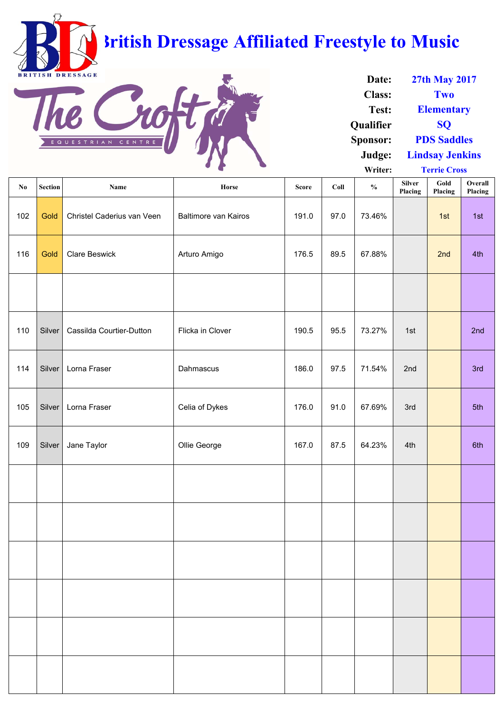| $\bf{N0}$ | <b>Section</b> | <b>Name</b>                | Horse                       | <b>Score</b> | Coll | $\frac{1}{2}$ | <b>Silver</b><br>Placing | Gold<br>Placing | Overall<br>Placing |
|-----------|----------------|----------------------------|-----------------------------|--------------|------|---------------|--------------------------|-----------------|--------------------|
| 102       | Gold           | Christel Caderius van Veen | <b>Baltimore van Kairos</b> | 191.0        | 97.0 | 73.46%        |                          | 1st             | 1st                |
| 116       | Gold           | <b>Clare Beswick</b>       | Arturo Amigo                | 176.5        | 89.5 | 67.88%        |                          | 2nd             | 4th                |
|           |                |                            |                             |              |      |               |                          |                 |                    |
| 110       | Silver         | Cassilda Courtier-Dutton   | Flicka in Clover            | 190.5        | 95.5 | 73.27%        | 1st                      |                 | 2nd                |
| 114       | Silver         | Lorna Fraser               | Dahmascus                   | 186.0        | 97.5 | 71.54%        | 2nd                      |                 | 3rd                |
| 105       | Silver         | Lorna Fraser               | Celia of Dykes              | 176.0        | 91.0 | 67.69%        | 3rd                      |                 | 5th                |
| 109       | Silver         | Jane Taylor                | Ollie George                | 167.0        | 87.5 | 64.23%        | 4th                      |                 | 6th                |
|           |                |                            |                             |              |      |               |                          |                 |                    |
|           |                |                            |                             |              |      |               |                          |                 |                    |
|           |                |                            |                             |              |      |               |                          |                 |                    |
|           |                |                            |                             |              |      |               |                          |                 |                    |
|           |                |                            |                             |              |      |               |                          |                 |                    |
|           |                |                            |                             |              |      |               |                          |                 |                    |

| Date:            | <b>27th May 2017</b>   |
|------------------|------------------------|
| <b>Class:</b>    | Two                    |
| Test:            | <b>Elementary</b>      |
| <b>Qualifier</b> | <b>SO</b>              |
| <b>Sponsor:</b>  | <b>PDS Saddles</b>     |
| Judge:           | <b>Lindsay Jenkins</b> |
| Writer:          | <b>Terrie Cross</b>    |

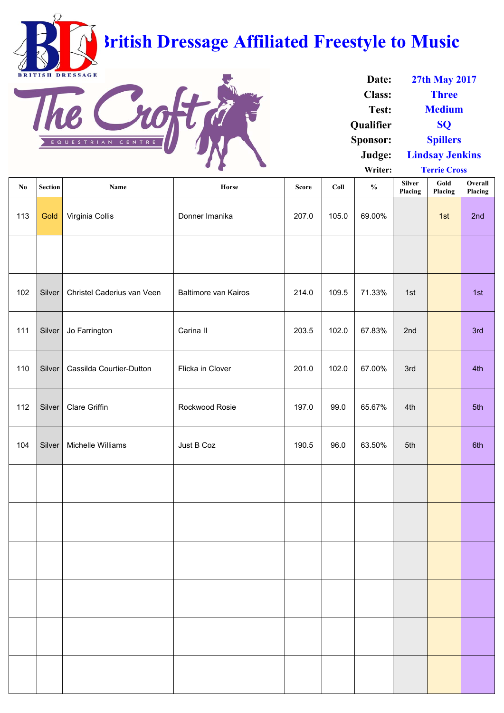| No  | <b>Section</b> | Name                              | <b>Horse</b>                | <b>Score</b> | Coll  | $\frac{0}{0}$ | <b>Silver</b><br>Placing | Gold<br>Placing | Overall<br>Placing |
|-----|----------------|-----------------------------------|-----------------------------|--------------|-------|---------------|--------------------------|-----------------|--------------------|
| 113 | Gold           | Virginia Collis                   | Donner Imanika              | 207.0        | 105.0 | 69.00%        |                          | 1st             | 2nd                |
|     |                |                                   |                             |              |       |               |                          |                 |                    |
| 102 | Silver         | <b>Christel Caderius van Veen</b> | <b>Baltimore van Kairos</b> | 214.0        | 109.5 | 71.33%        | 1st                      |                 | 1st                |
| 111 | Silver         | Jo Farrington                     | Carina II                   | 203.5        | 102.0 | 67.83%        | 2nd                      |                 | 3rd                |
| 110 | Silver         | Cassilda Courtier-Dutton          | Flicka in Clover            | 201.0        | 102.0 | 67.00%        | 3rd                      |                 | 4th                |
| 112 | Silver         | <b>Clare Griffin</b>              | <b>Rockwood Rosie</b>       | 197.0        | 99.0  | 65.67%        | 4th                      |                 | 5th                |
|     |                | 104   Silver   Michelle Williams  | Just B Coz                  | 190.5        | 96.0  | 63.50%        | 5th                      |                 | 6th                |
|     |                |                                   |                             |              |       |               |                          |                 |                    |
|     |                |                                   |                             |              |       |               |                          |                 |                    |

| Date:            | <b>27th May 2017</b>   |
|------------------|------------------------|
| <b>Class:</b>    | <b>Three</b>           |
| Test:            | <b>Medium</b>          |
| <b>Qualifier</b> | SO                     |
| <b>Sponsor:</b>  | <b>Spillers</b>        |
| Judge:           | <b>Lindsay Jenkins</b> |
| Writer:          | <b>Terrie Cross</b>    |